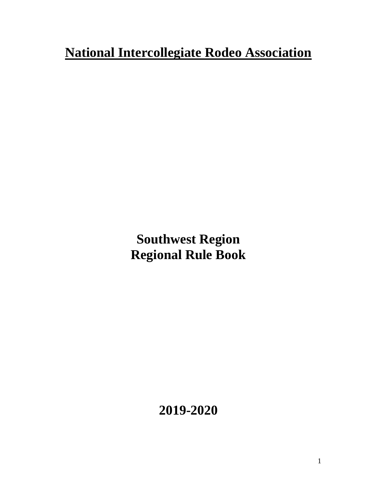# **National Intercollegiate Rodeo Association**

**Southwest Region Regional Rule Book**

**2019-2020**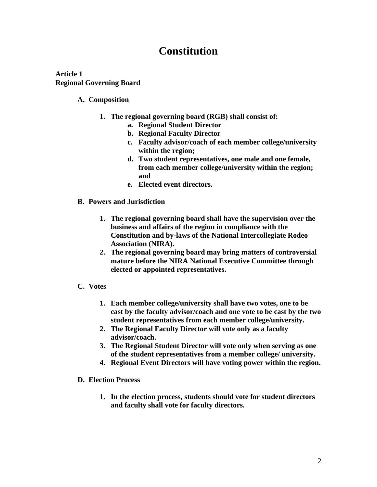## **Constitution**

**Article 1 Regional Governing Board**

## **A. Composition**

- **1. The regional governing board (RGB) shall consist of:**
	- **a. Regional Student Director**
	- **b. Regional Faculty Director**
	- **c. Faculty advisor/coach of each member college/university within the region;**
	- **d. Two student representatives, one male and one female, from each member college/university within the region; and**
	- **e. Elected event directors.**
- **B. Powers and Jurisdiction**
	- **1. The regional governing board shall have the supervision over the business and affairs of the region in compliance with the Constitution and by-laws of the National Intercollegiate Rodeo Association (NIRA).**
	- **2. The regional governing board may bring matters of controversial mature before the NIRA National Executive Committee through elected or appointed representatives.**
- **C. Votes**
	- **1. Each member college/university shall have two votes, one to be cast by the faculty advisor/coach and one vote to be cast by the two student representatives from each member college/university.**
	- **2. The Regional Faculty Director will vote only as a faculty advisor/coach.**
	- **3. The Regional Student Director will vote only when serving as one of the student representatives from a member college/ university.**
	- **4. Regional Event Directors will have voting power within the region.**
- **D. Election Process**
	- **1. In the election process, students should vote for student directors and faculty shall vote for faculty directors.**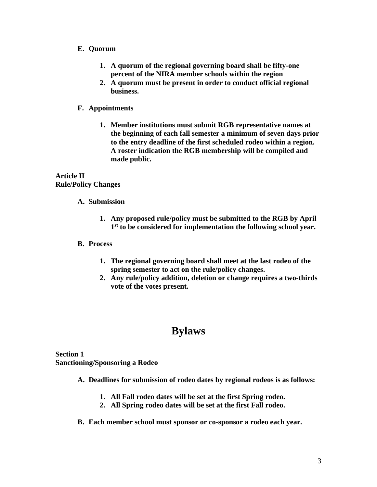## **E. Quorum**

- **1. A quorum of the regional governing board shall be fifty-one percent of the NIRA member schools within the region**
- **2. A quorum must be present in order to conduct official regional business.**

## **F. Appointments**

**1. Member institutions must submit RGB representative names at the beginning of each fall semester a minimum of seven days prior to the entry deadline of the first scheduled rodeo within a region. A roster indication the RGB membership will be compiled and made public.**

## **Article II Rule/Policy Changes**

## **A. Submission**

**1. Any proposed rule/policy must be submitted to the RGB by April 1 st to be considered for implementation the following school year.**

## **B. Process**

- **1. The regional governing board shall meet at the last rodeo of the spring semester to act on the rule/policy changes.**
- **2. Any rule/policy addition, deletion or change requires a two-thirds vote of the votes present.**

## **Bylaws**

**Section 1 Sanctioning/Sponsoring a Rodeo** 

- **A. Deadlines for submission of rodeo dates by regional rodeos is as follows:**
	- **1. All Fall rodeo dates will be set at the first Spring rodeo.**
	- **2. All Spring rodeo dates will be set at the first Fall rodeo.**
- **B. Each member school must sponsor or co-sponsor a rodeo each year.**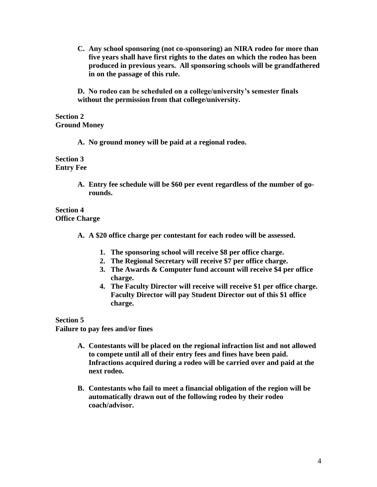**C. Any school sponsoring (not co-sponsoring) an NIRA rodeo for more than five years shall have first rights to the dates on which the rodeo has been produced in previous years. All sponsoring schools will be grandfathered in on the passage of this rule.**

**D. No rodeo can be scheduled on a college/university's semester finals without the permission from that college/university.**

## **Section 2 Ground Money**

**A. No ground money will be paid at a regional rodeo.**

**Section 3 Entry Fee**

> **A. Entry fee schedule will be \$60 per event regardless of the number of gorounds.**

**Section 4 Office Charge**

- **A. A \$20 office charge per contestant for each rodeo will be assessed.**
	- **1. The sponsoring school will receive \$8 per office charge.**
	- **2. The Regional Secretary will receive \$7 per office charge.**
	- **3. The Awards & Computer fund account will receive \$4 per office charge.**
	- **4. The Faculty Director will receive will receive \$1 per office charge. Faculty Director will pay Student Director out of this \$1 office charge.**

**Section 5**

**Failure to pay fees and/or fines**

- **A. Contestants will be placed on the regional infraction list and not allowed to compete until all of their entry fees and fines have been paid. Infractions acquired during a rodeo will be carried over and paid at the next rodeo.**
- **B. Contestants who fail to meet a financial obligation of the region will be automatically drawn out of the following rodeo by their rodeo coach/advisor.**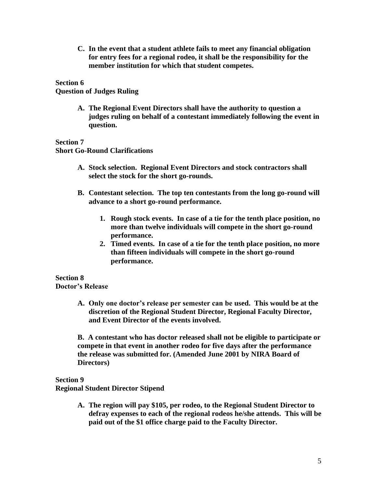**C. In the event that a student athlete fails to meet any financial obligation for entry fees for a regional rodeo, it shall be the responsibility for the member institution for which that student competes.**

### **Section 6**

**Question of Judges Ruling**

**A. The Regional Event Directors shall have the authority to question a judges ruling on behalf of a contestant immediately following the event in question.**

**Section 7**

**Short Go-Round Clarifications**

- **A. Stock selection. Regional Event Directors and stock contractors shall select the stock for the short go-rounds.**
- **B. Contestant selection. The top ten contestants from the long go-round will advance to a short go-round performance.**
	- **1. Rough stock events. In case of a tie for the tenth place position, no more than twelve individuals will compete in the short go-round performance.**
	- **2. Timed events. In case of a tie for the tenth place position, no more than fifteen individuals will compete in the short go-round performance.**

**Section 8 Doctor's Release**

> **A. Only one doctor's release per semester can be used. This would be at the discretion of the Regional Student Director, Regional Faculty Director, and Event Director of the events involved.**

> **B. A contestant who has doctor released shall not be eligible to participate or compete in that event in another rodeo for five days after the performance the release was submitted for. (Amended June 2001 by NIRA Board of Directors)**

**Section 9**

**Regional Student Director Stipend**

**A. The region will pay \$105, per rodeo, to the Regional Student Director to defray expenses to each of the regional rodeos he/she attends. This will be paid out of the \$1 office charge paid to the Faculty Director.**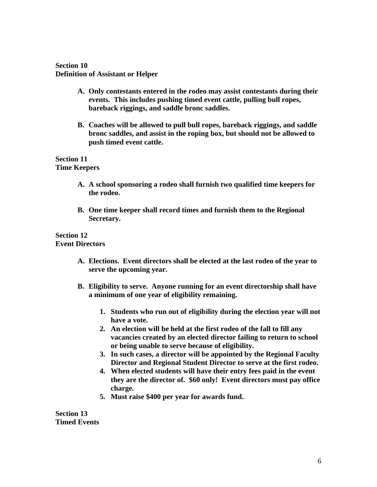## **Section 10 Definition of Assistant or Helper**

- **A. Only contestants entered in the rodeo may assist contestants during their events. This includes pushing timed event cattle, pulling bull ropes, bareback riggings, and saddle bronc saddles.**
- **B. Coaches will be allowed to pull bull ropes, bareback riggings, and saddle bronc saddles, and assist in the roping box, but should not be allowed to push timed event cattle.**

## **Section 11 Time Keepers**

- **A. A school sponsoring a rodeo shall furnish two qualified time keepers for the rodeo.**
- **B. One time keeper shall record times and furnish them to the Regional Secretary.**

## **Section 12 Event Directors**

- **A. Elections. Event directors shall be elected at the last rodeo of the year to serve the upcoming year.**
- **B. Eligibility to serve. Anyone running for an event directorship shall have a minimum of one year of eligibility remaining.**
	- **1. Students who run out of eligibility during the election year will not have a vote.**
	- **2. An election will be held at the first rodeo of the fall to fill any vacancies created by an elected director failing to return to school or being unable to serve because of eligibility.**
	- **3. In such cases, a director will be appointed by the Regional Faculty Director and Regional Student Director to serve at the first rodeo.**
	- **4. When elected students will have their entry fees paid in the event they are the director of. \$60 only! Event directors must pay office charge.**
	- **5. Must raise \$400 per year for awards fund.**

**Section 13 Timed Events**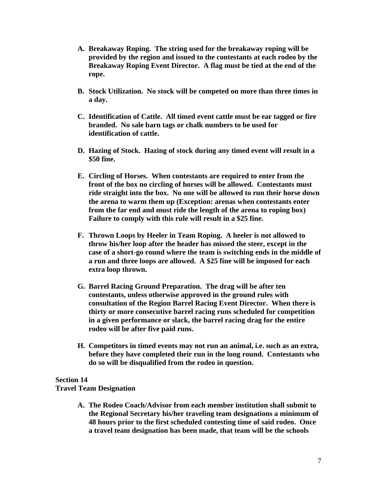- **A. Breakaway Roping. The string used for the breakaway roping will be provided by the region and issued to the contestants at each rodeo by the Breakaway Roping Event Director. A flag must be tied at the end of the rope.**
- **B. Stock Utilization. No stock will be competed on more than three times in a day.**
- **C. Identification of Cattle. All timed event cattle must be ear tagged or fire branded. No sale barn tags or chalk numbers to be used for identification of cattle.**
- **D. Hazing of Stock. Hazing of stock during any timed event will result in a \$50 fine.**
- **E. Circling of Horses. When contestants are required to enter from the front of the box no circling of horses will be allowed. Contestants must ride straight into the box. No one will be allowed to run their horse down the arena to warm them up (Exception: arenas when contestants enter from the far end and must ride the length of the arena to roping box) Failure to comply with this rule will result in a \$25 fine.**
- **F. Thrown Loops by Heeler in Team Roping. A heeler is not allowed to throw his/her loop after the header has missed the steer, except in the case of a short-go round where the team is switching ends in the middle of a run and three loops are allowed. A \$25 fine will be imposed for each extra loop thrown.**
- **G. Barrel Racing Ground Preparation. The drag will be after ten contestants, unless otherwise approved in the ground rules with consultation of the Region Barrel Racing Event Director. When there is thirty or more consecutive barrel racing runs scheduled for competition in a given performance or slack, the barrel racing drag for the entire rodeo will be after five paid runs.**
- **H. Competitors in timed events may not run an animal, i.e. such as an extra, before they have completed their run in the long round. Contestants who do so will be disqualified from the rodeo in question.**

## **Section 14**

## **Travel Team Designation**

**A. The Rodeo Coach/Advisor from each member institution shall submit to the Regional Secretary his/her traveling team designations a minimum of 48 hours prior to the first scheduled contesting time of said rodeo. Once a travel team designation has been made, that team will be the schools**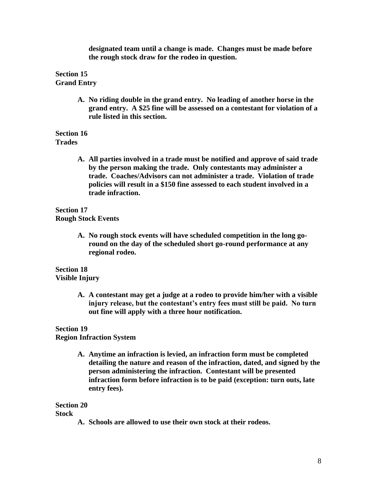**designated team until a change is made. Changes must be made before the rough stock draw for the rodeo in question.**

**Section 15 Grand Entry**

> **A. No riding double in the grand entry. No leading of another horse in the grand entry. A \$25 fine will be assessed on a contestant for violation of a rule listed in this section.**

**Section 16 Trades**

> **A. All parties involved in a trade must be notified and approve of said trade by the person making the trade. Only contestants may administer a trade. Coaches/Advisors can not administer a trade. Violation of trade policies will result in a \$150 fine assessed to each student involved in a trade infraction.**

**Section 17 Rough Stock Events**

> **A. No rough stock events will have scheduled competition in the long goround on the day of the scheduled short go-round performance at any regional rodeo.**

**Section 18 Visible Injury**

> **A. A contestant may get a judge at a rodeo to provide him/her with a visible injury release, but the contestant's entry fees must still be paid. No turn out fine will apply with a three hour notification.**

**Section 19**

**Region Infraction System**

**A. Anytime an infraction is levied, an infraction form must be completed detailing the nature and reason of the infraction, dated, and signed by the person administering the infraction. Contestant will be presented infraction form before infraction is to be paid (exception: turn outs, late entry fees).**

**Section 20**

**Stock**

**A. Schools are allowed to use their own stock at their rodeos.**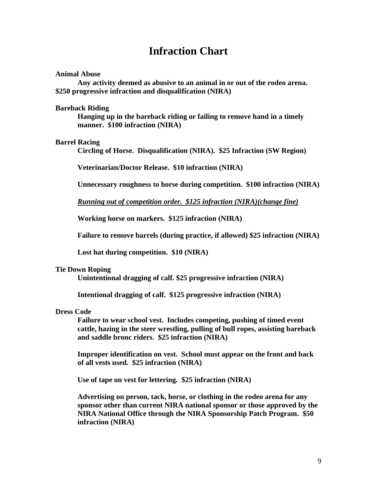## **Infraction Chart**

#### **Animal Abuse**

**Any activity deemed as abusive to an animal in or out of the rodeo arena. \$250 progressive infraction and disqualification (NIRA)**

#### **Bareback Riding**

**Hanging up in the bareback riding or failing to remove hand in a timely manner. \$100 infraction (NIRA)**

#### **Barrel Racing**

**Circling of Horse. Disqualification (NIRA). \$25 Infraction (SW Region)**

**Veterinarian/Doctor Release. \$10 infraction (NIRA)**

**Unnecessary roughness to horse during competition. \$100 infraction (NIRA)**

*Running out of competition order. \$125 infraction (NIRA)(change fine)*

**Working horse on markers. \$125 infraction (NIRA)**

**Failure to remove barrels (during practice, if allowed) \$25 infraction (NIRA)**

**Lost hat during competition. \$10 (NIRA)**

#### **Tie Down Roping**

**Unintentional dragging of calf. \$25 progressive infraction (NIRA)**

**Intentional dragging of calf. \$125 progressive infraction (NIRA)**

#### **Dress Code**

**Failure to wear school vest. Includes competing, pushing of timed event cattle, hazing in the steer wrestling, pulling of bull ropes, assisting bareback and saddle bronc riders. \$25 infraction (NIRA)**

**Improper identification on vest. School must appear on the front and back of all vests used. \$25 infraction (NIRA)**

**Use of tape on vest for lettering. \$25 infraction (NIRA)**

**Advertising on person, tack, horse, or clothing in the rodeo arena for any sponsor other than current NIRA national sponsor or those approved by the NIRA National Office through the NIRA Sponsorship Patch Program. \$50 infraction (NIRA)**